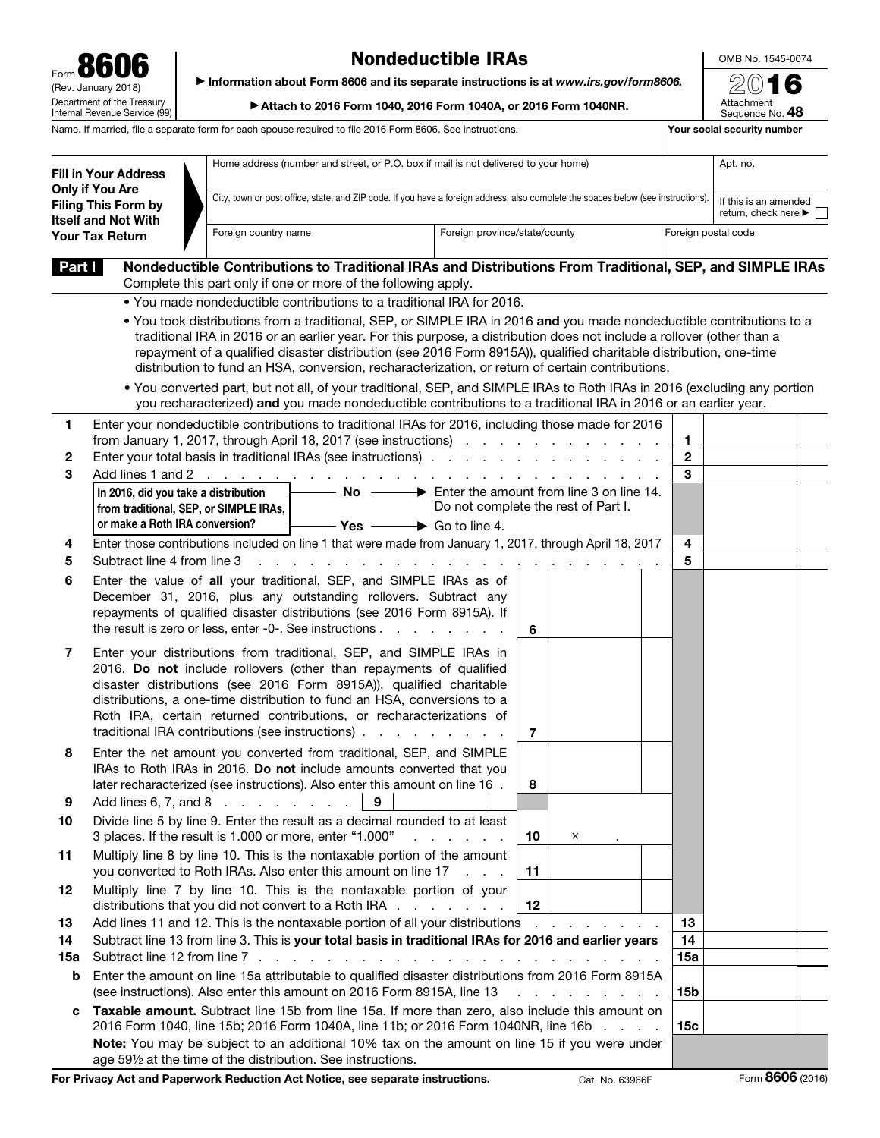| Form 8606                                                                                                                                | <b>Nondeductible IRAs</b>                                                             | OMB No. 1545-00 |                               |  |
|------------------------------------------------------------------------------------------------------------------------------------------|---------------------------------------------------------------------------------------|-----------------|-------------------------------|--|
| (Rev. January 2018)                                                                                                                      | Information about Form 8606 and its separate instructions is at www.irs.gov/form8606. |                 | 2016                          |  |
| Department of the Treasury<br>Internal Revenue Service (99)                                                                              | ▶ Attach to 2016 Form 1040, 2016 Form 1040A, or 2016 Form 1040NR.                     |                 | Attachment<br>Sequence No. 48 |  |
| Name. If married, file a separate form for each spouse required to file 2016 Form 8606. See instructions.<br>Your social security number |                                                                                       |                 |                               |  |

## Nondeductible IRAs

OMB No. 1545-0074

| <b>Fill in Your Address</b><br><b>Only if You Are</b><br><b>Filing This Form by</b><br><b>Itself and Not With</b> |                                                                                                                                                                                                          | Home address (number and street, or P.O. box if mail is not delivered to your home)                                                                                                                                                                                                                                                                                                                                                                                       |                         |                                                                                          |                              | Apt. no.                                                          |  |
|-------------------------------------------------------------------------------------------------------------------|----------------------------------------------------------------------------------------------------------------------------------------------------------------------------------------------------------|---------------------------------------------------------------------------------------------------------------------------------------------------------------------------------------------------------------------------------------------------------------------------------------------------------------------------------------------------------------------------------------------------------------------------------------------------------------------------|-------------------------|------------------------------------------------------------------------------------------|------------------------------|-------------------------------------------------------------------|--|
|                                                                                                                   |                                                                                                                                                                                                          | City, town or post office, state, and ZIP code. If you have a foreign address, also complete the spaces below (see instructions).                                                                                                                                                                                                                                                                                                                                         |                         |                                                                                          |                              | If this is an amended<br>return, check here $\blacktriangleright$ |  |
|                                                                                                                   | Foreign province/state/county<br>Foreign country name<br>Your Tax Return                                                                                                                                 |                                                                                                                                                                                                                                                                                                                                                                                                                                                                           |                         |                                                                                          | Foreign postal code          |                                                                   |  |
| Part I                                                                                                            |                                                                                                                                                                                                          | Nondeductible Contributions to Traditional IRAs and Distributions From Traditional, SEP, and SIMPLE IRAs                                                                                                                                                                                                                                                                                                                                                                  |                         |                                                                                          |                              |                                                                   |  |
|                                                                                                                   |                                                                                                                                                                                                          | Complete this part only if one or more of the following apply.                                                                                                                                                                                                                                                                                                                                                                                                            |                         |                                                                                          |                              |                                                                   |  |
|                                                                                                                   |                                                                                                                                                                                                          | . You made nondeductible contributions to a traditional IRA for 2016.                                                                                                                                                                                                                                                                                                                                                                                                     |                         |                                                                                          |                              |                                                                   |  |
|                                                                                                                   |                                                                                                                                                                                                          | . You took distributions from a traditional, SEP, or SIMPLE IRA in 2016 and you made nondeductible contributions to a<br>traditional IRA in 2016 or an earlier year. For this purpose, a distribution does not include a rollover (other than a<br>repayment of a qualified disaster distribution (see 2016 Form 8915A)), qualified charitable distribution, one-time<br>distribution to fund an HSA, conversion, recharacterization, or return of certain contributions. |                         |                                                                                          |                              |                                                                   |  |
|                                                                                                                   |                                                                                                                                                                                                          | . You converted part, but not all, of your traditional, SEP, and SIMPLE IRAs to Roth IRAs in 2016 (excluding any portion<br>you recharacterized) and you made nondeductible contributions to a traditional IRA in 2016 or an earlier year.                                                                                                                                                                                                                                |                         |                                                                                          |                              |                                                                   |  |
| 1                                                                                                                 |                                                                                                                                                                                                          | Enter your nondeductible contributions to traditional IRAs for 2016, including those made for 2016                                                                                                                                                                                                                                                                                                                                                                        |                         |                                                                                          |                              |                                                                   |  |
| 2                                                                                                                 |                                                                                                                                                                                                          | from January 1, 2017, through April 18, 2017 (see instructions)<br>Enter your total basis in traditional IRAs (see instructions)                                                                                                                                                                                                                                                                                                                                          |                         |                                                                                          | $\mathbf{1}$<br>$\mathbf{2}$ |                                                                   |  |
| 3                                                                                                                 |                                                                                                                                                                                                          | Add lines 1 and 2 $\ldots$ $\ldots$ $\ldots$ $\ldots$ $\ldots$ $\ldots$                                                                                                                                                                                                                                                                                                                                                                                                   |                         | $\mathbf{r}$ , and $\mathbf{r}$ , and $\mathbf{r}$ , and $\mathbf{r}$ , and $\mathbf{r}$ | 3                            |                                                                   |  |
|                                                                                                                   | In 2016, did you take a distribution                                                                                                                                                                     | $\sim$ No $\rightarrow$ Enter the amount from line 3 on line 14.                                                                                                                                                                                                                                                                                                                                                                                                          |                         |                                                                                          |                              |                                                                   |  |
|                                                                                                                   | from traditional, SEP, or SIMPLE IRAs,                                                                                                                                                                   |                                                                                                                                                                                                                                                                                                                                                                                                                                                                           |                         | Do not complete the rest of Part I.                                                      |                              |                                                                   |  |
|                                                                                                                   | or make a Roth IRA conversion?                                                                                                                                                                           | $\rightarrow$ Go to line 4.<br>$-$ Yes $\,$                                                                                                                                                                                                                                                                                                                                                                                                                               |                         |                                                                                          |                              |                                                                   |  |
| 4<br>5                                                                                                            | Subtract line 4 from line 3                                                                                                                                                                              | Enter those contributions included on line 1 that were made from January 1, 2017, through April 18, 2017                                                                                                                                                                                                                                                                                                                                                                  |                         |                                                                                          | 4<br>5                       |                                                                   |  |
| 6                                                                                                                 |                                                                                                                                                                                                          | Enter the value of all your traditional, SEP, and SIMPLE IRAs as of                                                                                                                                                                                                                                                                                                                                                                                                       |                         |                                                                                          |                              |                                                                   |  |
|                                                                                                                   |                                                                                                                                                                                                          | December 31, 2016, plus any outstanding rollovers. Subtract any<br>repayments of qualified disaster distributions (see 2016 Form 8915A). If<br>the result is zero or less, enter -0-. See instructions $\ldots$ $\ldots$ $\ldots$ $\ldots$                                                                                                                                                                                                                                | 6                       |                                                                                          |                              |                                                                   |  |
| 7                                                                                                                 |                                                                                                                                                                                                          | Enter your distributions from traditional, SEP, and SIMPLE IRAs in<br>2016. Do not include rollovers (other than repayments of qualified<br>disaster distributions (see 2016 Form 8915A)), qualified charitable<br>distributions, a one-time distribution to fund an HSA, conversions to a<br>Roth IRA, certain returned contributions, or recharacterizations of<br>traditional IRA contributions (see instructions)                                                     | $\overline{7}$          |                                                                                          |                              |                                                                   |  |
| 8                                                                                                                 |                                                                                                                                                                                                          | Enter the net amount you converted from traditional, SEP, and SIMPLE<br>IRAs to Roth IRAs in 2016. Do not include amounts converted that you<br>later recharacterized (see instructions). Also enter this amount on line 16 .                                                                                                                                                                                                                                             | 8                       |                                                                                          |                              |                                                                   |  |
| 9                                                                                                                 |                                                                                                                                                                                                          | Add lines 6, 7, and 8 $\ldots$ $\ldots$ $\ldots$<br>9                                                                                                                                                                                                                                                                                                                                                                                                                     |                         |                                                                                          |                              |                                                                   |  |
| 10                                                                                                                |                                                                                                                                                                                                          | Divide line 5 by line 9. Enter the result as a decimal rounded to at least                                                                                                                                                                                                                                                                                                                                                                                                |                         |                                                                                          |                              |                                                                   |  |
| 11                                                                                                                |                                                                                                                                                                                                          | 3 places. If the result is 1.000 or more, enter "1.000"<br>and a state of the state of<br>Multiply line 8 by line 10. This is the nontaxable portion of the amount                                                                                                                                                                                                                                                                                                        | 10                      | ×                                                                                        |                              |                                                                   |  |
| 12                                                                                                                |                                                                                                                                                                                                          | you converted to Roth IRAs. Also enter this amount on line 17<br>Multiply line 7 by line 10. This is the nontaxable portion of your                                                                                                                                                                                                                                                                                                                                       | 11<br><b>Contractor</b> |                                                                                          |                              |                                                                   |  |
|                                                                                                                   |                                                                                                                                                                                                          | distributions that you did not convert to a Roth IRA                                                                                                                                                                                                                                                                                                                                                                                                                      | 12                      |                                                                                          | 13                           |                                                                   |  |
| 13                                                                                                                | Add lines 11 and 12. This is the nontaxable portion of all your distributions<br>the contract of the contract of                                                                                         |                                                                                                                                                                                                                                                                                                                                                                                                                                                                           |                         |                                                                                          |                              |                                                                   |  |
| 14<br>15a                                                                                                         | Subtract line 13 from line 3. This is your total basis in traditional IRAs for 2016 and earlier years<br>Subtract line 12 from line 7.<br>and the state of the state of the state of the                 |                                                                                                                                                                                                                                                                                                                                                                                                                                                                           |                         |                                                                                          |                              |                                                                   |  |
| b                                                                                                                 | 15a<br>Enter the amount on line 15a attributable to qualified disaster distributions from 2016 Form 8915A                                                                                                |                                                                                                                                                                                                                                                                                                                                                                                                                                                                           |                         |                                                                                          |                              |                                                                   |  |
|                                                                                                                   | (see instructions). Also enter this amount on 2016 Form 8915A, line 13<br>15b<br>and a straight and a straight                                                                                           |                                                                                                                                                                                                                                                                                                                                                                                                                                                                           |                         |                                                                                          |                              |                                                                   |  |
| c                                                                                                                 | Taxable amount. Subtract line 15b from line 15a. If more than zero, also include this amount on<br>2016 Form 1040, line 15b; 2016 Form 1040A, line 11b; or 2016 Form 1040NR, line 16b<br>15 <sub>c</sub> |                                                                                                                                                                                                                                                                                                                                                                                                                                                                           |                         |                                                                                          |                              |                                                                   |  |
|                                                                                                                   | Note: You may be subject to an additional 10% tax on the amount on line 15 if you were under<br>age 591/2 at the time of the distribution. See instructions.                                             |                                                                                                                                                                                                                                                                                                                                                                                                                                                                           |                         |                                                                                          |                              |                                                                   |  |